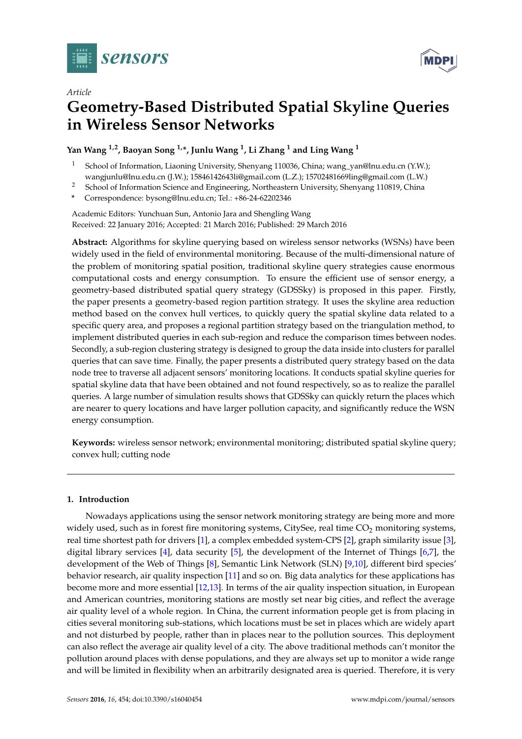



# **Geometry-Based Distributed Spatial Skyline Queries in Wireless Sensor Networks**

## **Yan Wang 1,2, Baoyan Song 1,\*, Junlu Wang <sup>1</sup> , Li Zhang <sup>1</sup> and Ling Wang <sup>1</sup>**

- <sup>1</sup> School of Information, Liaoning University, Shenyang 110036, China; wang\_yan@lnu.edu.cn (Y.W.); wangjunlu@lnu.edu.cn (J.W.); 15846142643li@gmail.com (L.Z.); 15702481669ling@gmail.com (L.W.)
- <sup>2</sup> School of Information Science and Engineering, Northeastern University, Shenyang 110819, China
- **\*** Correspondence: bysong@lnu.edu.cn; Tel.: +86-24-62202346

Academic Editors: Yunchuan Sun, Antonio Jara and Shengling Wang Received: 22 January 2016; Accepted: 21 March 2016; Published: 29 March 2016

**Abstract:** Algorithms for skyline querying based on wireless sensor networks (WSNs) have been widely used in the field of environmental monitoring. Because of the multi-dimensional nature of the problem of monitoring spatial position, traditional skyline query strategies cause enormous computational costs and energy consumption. To ensure the efficient use of sensor energy, a geometry-based distributed spatial query strategy (GDSSky) is proposed in this paper. Firstly, the paper presents a geometry-based region partition strategy. It uses the skyline area reduction method based on the convex hull vertices, to quickly query the spatial skyline data related to a specific query area, and proposes a regional partition strategy based on the triangulation method, to implement distributed queries in each sub-region and reduce the comparison times between nodes. Secondly, a sub-region clustering strategy is designed to group the data inside into clusters for parallel queries that can save time. Finally, the paper presents a distributed query strategy based on the data node tree to traverse all adjacent sensors' monitoring locations. It conducts spatial skyline queries for spatial skyline data that have been obtained and not found respectively, so as to realize the parallel queries. A large number of simulation results shows that GDSSky can quickly return the places which are nearer to query locations and have larger pollution capacity, and significantly reduce the WSN energy consumption.

**Keywords:** wireless sensor network; environmental monitoring; distributed spatial skyline query; convex hull; cutting node

## **1. Introduction**

Nowadays applications using the sensor network monitoring strategy are being more and more widely used, such as in forest fire monitoring systems, CitySee, real time  $CO<sub>2</sub>$  monitoring systems, real time shortest path for drivers [\[1\]](#page-19-0), a complex embedded system-CPS [\[2\]](#page-19-1), graph similarity issue [\[3\]](#page-19-2), digital library services [\[4\]](#page-19-3), data security [\[5\]](#page-19-4), the development of the Internet of Things [\[6](#page-19-5)[,7\]](#page-19-6), the development of the Web of Things [\[8\]](#page-19-7), Semantic Link Network (SLN) [\[9,](#page-19-8)[10\]](#page-19-9), different bird species' behavior research, air quality inspection [\[11\]](#page-19-10) and so on. Big data analytics for these applications has become more and more essential [\[12](#page-19-11)[,13\]](#page-19-12). In terms of the air quality inspection situation, in European and American countries, monitoring stations are mostly set near big cities, and reflect the average air quality level of a whole region. In China, the current information people get is from placing in cities several monitoring sub-stations, which locations must be set in places which are widely apart and not disturbed by people, rather than in places near to the pollution sources. This deployment can also reflect the average air quality level of a city. The above traditional methods can't monitor the pollution around places with dense populations, and they are always set up to monitor a wide range and will be limited in flexibility when an arbitrarily designated area is queried. Therefore, it is very

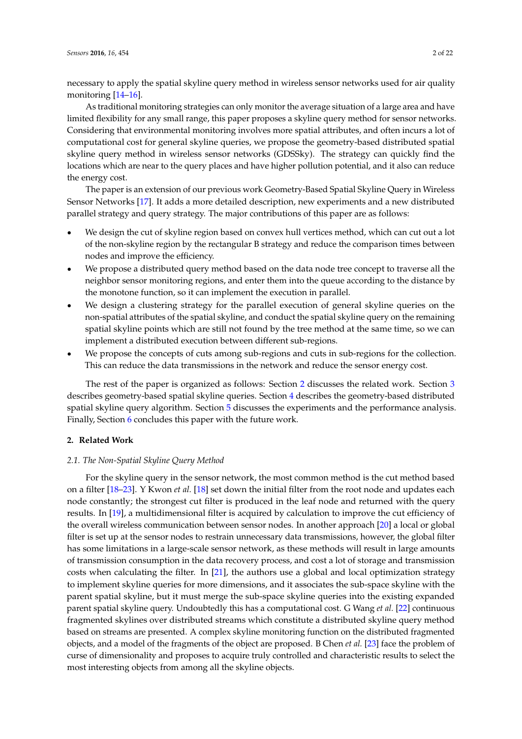necessary to apply the spatial skyline query method in wireless sensor networks used for air quality monitoring [\[14](#page-19-13)[–16\]](#page-20-0).

As traditional monitoring strategies can only monitor the average situation of a large area and have limited flexibility for any small range, this paper proposes a skyline query method for sensor networks. Considering that environmental monitoring involves more spatial attributes, and often incurs a lot of computational cost for general skyline queries, we propose the geometry-based distributed spatial skyline query method in wireless sensor networks (GDSSky). The strategy can quickly find the locations which are near to the query places and have higher pollution potential, and it also can reduce the energy cost.

The paper is an extension of our previous work Geometry-Based Spatial Skyline Query in Wireless Sensor Networks [\[17\]](#page-20-1). It adds a more detailed description, new experiments and a new distributed parallel strategy and query strategy. The major contributions of this paper are as follows:

- We design the cut of skyline region based on convex hull vertices method, which can cut out a lot of the non-skyline region by the rectangular B strategy and reduce the comparison times between nodes and improve the efficiency.
- ' We propose a distributed query method based on the data node tree concept to traverse all the neighbor sensor monitoring regions, and enter them into the queue according to the distance by the monotone function, so it can implement the execution in parallel.
- ' We design a clustering strategy for the parallel execution of general skyline queries on the non-spatial attributes of the spatial skyline, and conduct the spatial skyline query on the remaining spatial skyline points which are still not found by the tree method at the same time, so we can implement a distributed execution between different sub-regions.
- We propose the concepts of cuts among sub-regions and cuts in sub-regions for the collection. This can reduce the data transmissions in the network and reduce the sensor energy cost.

The rest of the paper is organized as follows: Section [2](#page-1-0) discusses the related work. Section [3](#page-3-0) describes geometry-based spatial skyline queries. Section [4](#page-8-0) describes the geometry-based distributed spatial skyline query algorithm. Section [5](#page-15-0) discusses the experiments and the performance analysis. Finally, Section [6](#page-18-0) concludes this paper with the future work.

#### <span id="page-1-0"></span>**2. Related Work**

#### *2.1. The Non-Spatial Skyline Query Method*

For the skyline query in the sensor network, the most common method is the cut method based on a filter [\[18](#page-20-2)[–23\]](#page-20-3). Y Kwon *et al.* [\[18\]](#page-20-2) set down the initial filter from the root node and updates each node constantly; the strongest cut filter is produced in the leaf node and returned with the query results. In [\[19\]](#page-20-4), a multidimensional filter is acquired by calculation to improve the cut efficiency of the overall wireless communication between sensor nodes. In another approach [\[20\]](#page-20-5) a local or global filter is set up at the sensor nodes to restrain unnecessary data transmissions, however, the global filter has some limitations in a large-scale sensor network, as these methods will result in large amounts of transmission consumption in the data recovery process, and cost a lot of storage and transmission costs when calculating the filter. In [\[21\]](#page-20-6), the authors use a global and local optimization strategy to implement skyline queries for more dimensions, and it associates the sub-space skyline with the parent spatial skyline, but it must merge the sub-space skyline queries into the existing expanded parent spatial skyline query. Undoubtedly this has a computational cost. G Wang *et al.* [\[22\]](#page-20-7) continuous fragmented skylines over distributed streams which constitute a distributed skyline query method based on streams are presented. A complex skyline monitoring function on the distributed fragmented objects, and a model of the fragments of the object are proposed. B Chen *et al.* [\[23\]](#page-20-3) face the problem of curse of dimensionality and proposes to acquire truly controlled and characteristic results to select the most interesting objects from among all the skyline objects.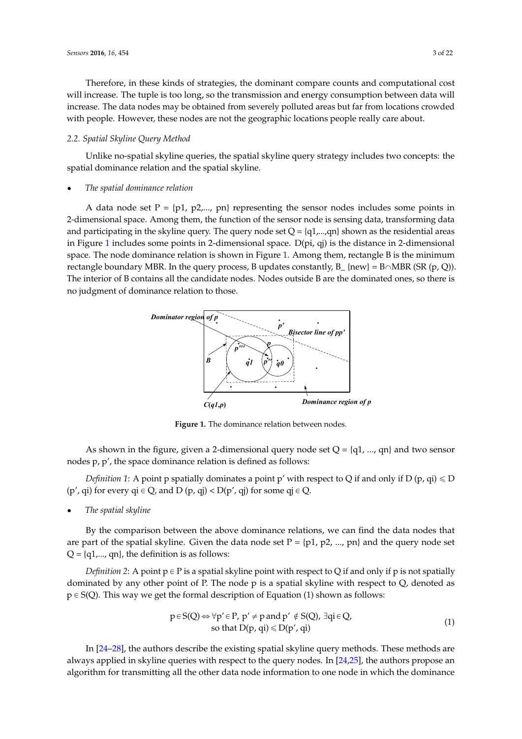Therefore, in these kinds of strategies, the dominant compare counts and computational cost *Sensors* **2016**, *16*, 454 3 of 21 will increase. The tuple is too long, so the transmission and energy consumption between data will increase. The data nodes may be obtained from severely polluted areas but far from locations crowded with people. However, these nodes are not the geographic locations people really care about.

## 2.2. Spatial Skyline Query Method

Unlike no-spatial skyline queries, the spatial skyline query strategy includes two concepts: the spatial dominance relation and the spatial skyline. *2.2. Spatial Skyline Query Method* 

#### • The spatial dominance relation

A data node set  $P = \{p1, p2,..., pn\}$  representing the sensor nodes includes some points in 2-dimensional space. Among them, the function of the sensor node is sensing data, transforming data and participating in the skyline query. The query node set  $Q = \{q1,...,qn\}$  shown as the residential areas in Figure [1](#page-2-0) includes some points in 2-dimensional space. D(pi, qj) is the distance in 2-dimensional space. The node dominance relation is shown in Figure [1.](#page-2-0) Among them, rectangle B is the minimum rectangle boundary MBR. In the query process, B updates constantly,  $B_{-}$  {new} = B $\cap$ MBR (SR (p, Q)). The interior of B contains all the candidate nodes. Nodes outside B are the dominated ones, so there is no judgment of dominance relation to those.  $R$  and  $R$  is contains all the candidate hours. Nodes outside  $B$  are the dominated ones, so the

<span id="page-2-0"></span>

**Figure 1.** The dominance relation between nodes. **Figure 1.** The dominance relation between nodes.

 $A = \frac{1}{2}$  shown in the figure, given a 2-dimensional query node set  $\frac{1}{2}$ As shown in the figure, given a 2-dimensional query node set  $Q = \{q1, ..., qn\}$  and two sensor *Definition 1*: A point p spatially dominates a point p' with respect to Q if and only if D (p, qi) ≤ D nodes p, p', the space dominance relation is defined as follows:

*Definition 1*: A point p spatially dominates a point p' with respect to Q if and only if D (p, qi)  $\leq$  D  $(p', q)$  for every  $qi \in Q$ , and  $D (p, qj) < D(p', qj)$  for some  $qj \in Q$ .

 $\bullet$  The spatial skyline **of above dominance relations**, we can find the data nodes that are *The spatial skyline* 

By the comparison between the above dominance relations, we can find the data nodes that are part of the spatial skyline. Given the data node set  $P = \{p1, p2, ..., pn\}$  and the query node set  $Q = \{q1,..., qn\}$ , the definition is as follows:

*Definition 2*: A point  $p \in P$  is a spatial skyline point with respect to Q if and only if p is not spatially dominated by any other point of P. The node p is a spatial skyline with respect to Q, denoted as  $p \in S(Q)$ . This way we get the formal description of Equation (1) shown as follows:

$$
p \in S(Q) \Leftrightarrow \forall p' \in P, \ p' \neq p \text{ and } p' \notin S(Q), \exists qi \in Q, \text{so that } D(p, qi) \le D(p', qi)
$$
\n(1)

In [24–28], the authors describe the existing spatial skyline query methods. These methods are always applied in skyline queries with respect to the query nodes. In [\[24](#page-20-8)[,25\]](#page-20-10), the authors propose an algorithm for transmitting all the other data node information to one node in which the dominance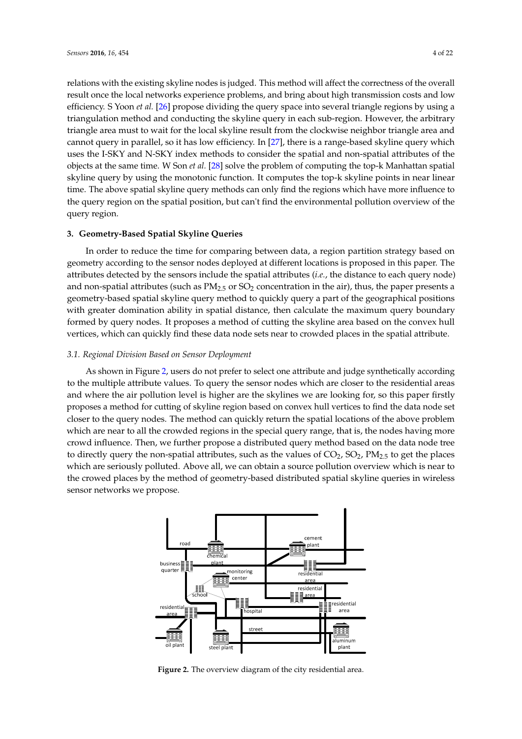relations with the existing skyline nodes is judged. This method will affect the correctness of the overall result once the local networks experience problems, and bring about high transmission costs and low *Sensors* **2016**, *16*, 454 4 of 21 efficiency. S Yoon *et al.* [\[26\]](#page-20-11) propose dividing the query space into several triangle regions by using a triangulation method and conducting the skyline query in each sub-region. However, the arbitrary triangle area must to wait for the local skyline result from the clockwise neighbor triangle area and cannot query in parallel, so it has low efficiency. In [\[27\]](#page-20-12), there is a range-based skyline query which uses the I-SKY and N-SKY index methods to consider the spatial and non-spatial attributes of the objects at the same time. W Son *et al.* [\[28\]](#page-20-9) solve the problem of computing the top-k Manhattan spatial skyline query by using the monotonic function. It computes the top-k skyline points in near linear time. The above spatial skyline query methods can only find the regions which have more influence to the query region on the spatial position, but can't find the environmental pollution overview of the query region.  $\frac{1}{2}$  for the local skyline result for the local skyling result from the clockwise neighbor triangle subset is  $\frac{1}{2}$  $\alpha$  more influence to the spatial position, but can but can but can but can but can but can but can but can but can but can but can but can but can but can but can but can but can but can but can but can but can but can

#### <span id="page-3-0"></span>**3. Geometry-Based Spatial Skyline Queries**

In order to reduce the time for comparing between data, a region partition strategy based on geometry according to the sensor nodes deployed at different locations is proposed in this paper. The attributes detected by the sensors include the spatial attributes (*i.e.*, the distance to each query node) and non-spatial attributes (such as PM<sub>2.5</sub> or SO<sub>2</sub> concentration in the air), thus, the paper presents a and non-spatial attributes (such as PM2.5 or SO2 concentration in the air), thus, the paper presents a<br>geometry-based spatial skyline query method to quickly query a part of the geographical positions with greater domination ability in spatial distance, then calculate the maximum query boundary formed by query nodes. It proposes a method of cutting the skyline area based on the convex hull vertices, which can quickly find these data node sets near to crowded places in the spatial attribute. **3. Geometry-Based Spatial Skyline Queries**  presents a geometry-based spatial skyline query method to query query a part of the geographical position

#### *3.1. Regional Division Based on Sensor Deployment* spatial attribute.

As shown in Figure [2,](#page-3-1) users do not prefer to select one attribute and judge synthetically according to the multiple attribute values. To query the sensor nodes which are closer to the residential areas and where the air pollution level is higher are the skylines we are looking for, so this paper firstly proposes a method for cutting of skyline region based on convex hull vertices to find the data node set closer to the query nodes. The method can quickly return the spatial locations of the above problem which are near to all the crowded regions in the special query range, that is, the nodes having more crowd influence. Then, we further propose a distributed query method based on the data node tree to directly query the non-spatial attributes, such as the values of  $CO<sub>2</sub>$ ,  $SO<sub>2</sub>$ ,  $PM<sub>2.5</sub>$  to get the places which are seriously polluted. Above all, we can obtain a source pollution overview which is near to the crowed places by the method of geometry-based distributed spatial skyline queries in wireless sensor networks we propose. the data non-spatial attributes, such as the values of  $C_2$ ,  $C_2$ ,  $P_{12,5}$  to get the particle

<span id="page-3-1"></span>

**Figure 2.** The overview diagram of the city residential area**. Figure 2.** The overview diagram of the city residential area.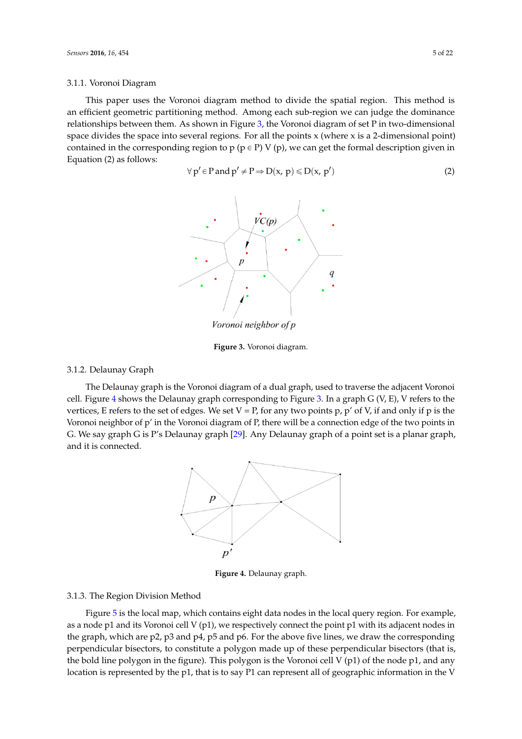### 3.1.1. Voronoi Diagram *Sensors* **2016**, *16*, 454 5 of 21

<span id="page-4-0"></span>This paper uses the Voronoi diagram method to divide the spatial region. This method is an efficient geometric partitioning method. Among each sub-region we can judge the dominance relationships between them. As shown in Figure [3,](#page-4-0) the Voronoi diagram of set P in two-dimensional relationships between them. To shown in Figure 3, the Voronoi diagram of set P in two-dimensional point)<br>space divides the space into several regions. For all the points x (where x is a 2-dimensional point) contained in the corresponding region to  $p$  ( $p \in P$ ) V ( $p$ ), we can get the formal description given in  $Equation (2)$  as follows: re divides the space into several regions. For all the points x (where x is a 2-dimensional point) in Figure 3, the Voronomia of set P in two-dimensional points of  $\Gamma$ This paper uses the This promettic partitioning method. This is called the volume that plage the dominal  $\mu$  ionships between them. As shown in Figure 5, the volution diagram of set F in two-dimension

$$
\forall p' \in P \text{ and } p' \neq P \Rightarrow D(x, p) \le D(x, p') \tag{2}
$$



Voronoi neighbor of p

**Figure 3.** Voronoi diagram. **Figure 3.** Voronoi diagram. **Figure 3.** Voronoi diagram.

# 3.1.2. Delaunay Graph 3.1.2. Delaunay Graph 3.1.2. Delaunay Graph

<span id="page-4-1"></span>The Delaunay graph is the Voronoi diagram of a dual graph, used to traverse the adjacent The Delaunay graph is the Voronoi diagram of a dual graph, used to traverse the adjacent Voronoi cell. Figure 4 shows the Delaunay graph corresponding [to](#page-4-0) Figure 3. In a graph G (V, E), V refers to the vertices, E refers to the set of edges. We set  $V = P$ , for any two points p, p' of V, if and only if p is the Voronoi neighbor of p' in the Voronoi diagram of P, there will be a connection edge of the two points in G. We say graph G is P's Delaunay graph [\[29\]](#page-20-13). Any Delaunay graph of a point set is a planar graph, and it is connected.



**Figure 4.** Delaunay graph. **Figure 4.** Delaunay graph.

#### $\mathcal{F}$  region division method 3.1.3. The Region Division Method 3.1.3. The Region Division Method

Figure 5 is the local map, which contains eight data nodes in the local query region. For example, as a node p1 and its Voronoi cell  $V(p1)$ , we respectively connect the point p1 with its adjacent nodes in  $t_{\text{total}}$  and no response car r  $(\gamma_1)$ , we respectively connect the point  $\rho_1$  with no adjacent nodes  $\mathbf{b}$  is that is, the bold line polygon in the figure). This polygon is the  $\mathbf{c}$  matrix of the  $\mathbf{c}$  matrix of the  $\mathbf{c}$  matrix of the V (p1) of the V (p1) of the V (p1) of the V (p1) of the V (p1) of the V (  $\frac{11!}{1!}$  and any location is represented by the property  $\frac{1}{1!}$  can represent all of  $\frac{1}{1!}$  can represent all of  $\frac{1}{1!}$ the graph, which are p2, p3 and p4, p5 and p6. For the above five lines, we draw the corresponding perpendicular bisectors, to constitute a polygon made up of these perpendicular bisectors (that is, the bold line polygon in the figure). This polygon is the Voronoi cell V (p1) of the node p1, and any location is represented by the p1, that is to say P1 can represent all of geographic information in the V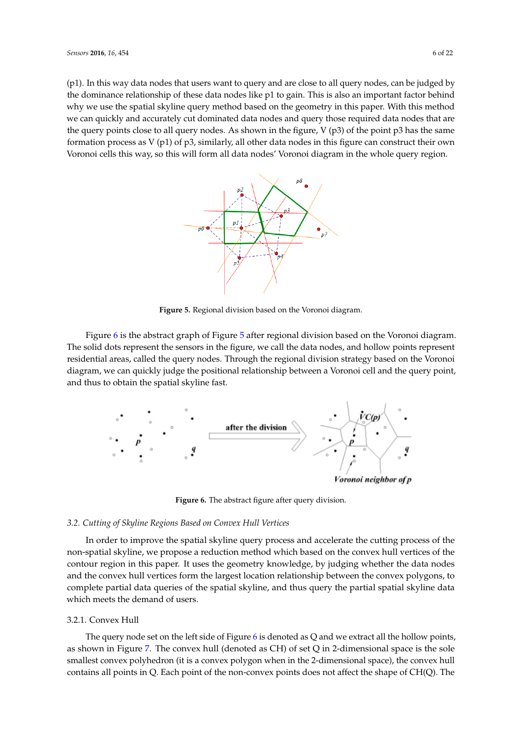<span id="page-5-0"></span>(p1). In this way data nodes that users want to query and are close to all query nodes, can be judged by the dominance relationship of these data nodes like  $p1$  to gain. This is also an important factor behind the dominance relationship of these data nodes like p1 to gain. This is also an important factor behind<br>why we use the spatial skyline query method based on the geometry in this paper. With this method we can quickly and accurately cut dominated data nodes and query those required data nodes that are the query points close to all query nodes. As shown in the figure,  $V$  (p3) of the point p3 has the same the query points close to all query nodes. As shown in the figure, V (p3) of the point p3 has the same formation process as  $V(p1)$  of p3, similarly, all other data nodes in this figure can construct their own Voronoi cells this way, so this will form all data nodes' Voronoi diagram in the whole query region. diagram in the whole query region. diagram in the whole query region.



**Figure 5.** Regional division based on the Voronoi diagram. **Figure 5.** Regional division based on the Voronoi diagram. **Figure 5.** Regional division based on the Voronoi diagram.

Figur[e 6](#page-5-1) is the abstract graph of Figur[e 5](#page-5-0) after regional division based on the Voronoi diagram. The solid dots represent the sensors in the figure, we call the data nodes, and hollow points represent residential areas, called the query nodes. Through the regional division strategy based on the Voronoi diagram, we can quickly judge the positional relationship between a Voronoi cell and the query point, and thus to obtain the spatial skyline fast.

<span id="page-5-1"></span>

**Figure 6.** The abstract figure after query division. **Figure 6.** The abstract figure after query division. **Figure 6.** The abstract figure after query division.

## *3.2. Cutting of Skyline Regions Based on Convex Hull Vertices 3.2. Cutting of Skyline Regions Based on Convex Hull Vertices 3.2. Cutting of Skyline Regions Based on Convex Hull Vertices*

In order to improve the spatial skyline query process and accelerate the cutting process of the non-spatial skyline, we propose a reduction method which based on the convex hull vertices of the non-spatial skyline, we propose a reduction method which based on the convex hull vertices of the non-spatial skyline, we propose a reduction method which based on the convex hull vertices of the<br>contour region in this paper. It uses the geometry knowledge, by judging whether the data nodes and the convex hull vertices form the largest location relationship between the convex polygons, to and the convex hull vertices form the largest location relationship between the convex polygons, to and the convex hull vertices form the largest location relationship between the convex polygons, to<br>complete partial data queries of the spatial skyline, and thus query the partial spatial skyline data which meets the demand of users. which meets the demand of users. which meets the demand of users.

## 3.2.1. Convex Hull 3.2.1. Convex Hull 3.2.1. Convex Hull

The query node set on the left side of Fig[ur](#page-5-1)e  $6$  is denoted as  $Q$  and we extract all the hollow points, as shown in [Fi](#page-6-0)gure 7. The convex hull (denoted as CH) of set Q in 2-dimensional space is the sole smallest convex polyhedron (it is a convex polygon when in the 2-dimensional space), the convex hull contains all points in Q. Each point of the non-convex points does not affect the shape of CH(Q). The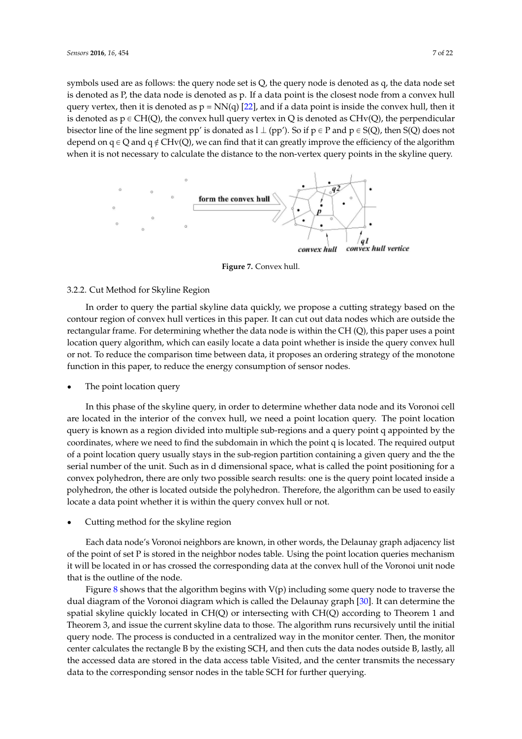symbols used are as follows: the query node set is Q, the query node is denoted as q, the data node set is denoted as P, the data node is denoted as p. If a data point is the closest node from a convex hull query vertex, then it is denoted as  $p = NN(q)$  [22], and if a data point is inside the co[nvex](#page-20-7) hull, then it is denoted as  $p \in CH(Q)$ , the convex hull query vertex in Q is denoted as CHv(Q), the perpendicular bisector line of the line segment pp' is donated as  $1 \perp (pp')$ . So if  $p \in P$  and  $p \in S(Q)$ , then  $S(Q)$  does not depend on  $q \in Q$  and  $q \notin CHv(Q)$ , we can find that it can greatly improve the efficiency of the algorithm when it is not necessary to calculate the distance to the non-vertex query points in the skyline query. points in the skyline query.

<span id="page-6-0"></span>

**Figure 7.** Convex hull. **Figure 7.** Convex hull.

#### 3.2.2. Cut Method for Skyline Region

In order to query the partial skyline data quickly, we propose a cutting strategy based on the contour region of convex hull vertices in this paper. It can cut out data nodes which are outside the rectangular frame. For determining whether the data node is within the CH (Q), this paper uses a location query algorithm, which can easily locate a data point whether is inside the query convex hull or not. To reduce the comparison time between data, it proposes an ordering strategy of the monotone function in this paper, to reduce the energy consumption of sensor nodes. 3.2.2. Cut Method for Skyline Region<br>In order to query the partial skyline data quickly, we propose a cutting strategy based on the<br>contour region of convex hull vertices in this paper. It can cut out data nodes which are

• The point location query

In this phase of the skyline query, in order to determine whether data node and its Voronoi cell In this phase of the skyline query, in order to determine whether data node and its Voronoi cell are located in the interior of the convex hull, we need a point location query. The point location are located in the interior of the convex hull, we need a point location query. The point location query is known as a region divided into multiple sub-regions and a query point q appointed by the query is known as a region divided into multiple sub-regions and a query point q appointed by the coordinates, where we need to find the subdomain in which the point q is located. The required coordinates, where we need to find the subdomain in which the point q is located. The required output output of a point location query usually stays in the sub-region partition containing a given query of a point location query usually stays in the sub-region partition containing a given query and the the or a point is called the unit. Such as in d dimensional space, what is called the point positioning for a serial number of the unit. Such as in d dimensional space, what is called the point positioning for a position frame for a convex polyhedron, the area convex polygroup position of the position of the query the query convex polyhedron, there are only two possible search results: one is the query point located inside a<br>convex polyhedron, there are only two possible search results: one is the query point located inside a polyhedron, the other is located outside the polyhedron. Therefore, the algorithm can be used to easily<br>here the convex hull of the convex hull of the polyhedron. Therefore, the algorithm can be used to easily locate a data point whether it is within the query convex hull or not.

 $E_{\alpha}$  node's Voronoi neighbors are known, in other words, the Delaunay graph adjacency graph adjacency graph adjacency graph adjacency graph adjacency graph adjacency graph adjacency graph adjacency graph adjacency grap Cutting method for the skyline region

Each data node's Voronoi neighbors are known, in other words, the Delaunay graph adjacency list of the point of set P is stored in the neighbor nodes table. Using the point location queries mechanism it will be located in or has crossed the corresponding data at the convex hull of the Voronoi unit node that is the outline of the node. The vertex of the node to traverse the node to traverse the outline of the node.

Figure 8 shows that the algorith[m](#page-7-0) begins with  $V(p)$  including some query node to traverse the dual diagram of the Voronoi diagram which is called the Delaunay graph [30]. It can determine the spatial skyline quickly located in CH(Q) or intersecting with CH(Q) according to Theorem 1 and Theorem 3, and issue the current skyline data to those. The algorithm runs recursively until the initial query node. The process is conducted in a centralized way in the monitor center. Then, the monitor center calculates the rectangle B by the existing SCH, and then cuts the data nodes outside B, lastly, all the accessed data are stored in the data access table Visited, and the center transmits the necessary data to the corresponding sensor nodes in the table SCH for further querying.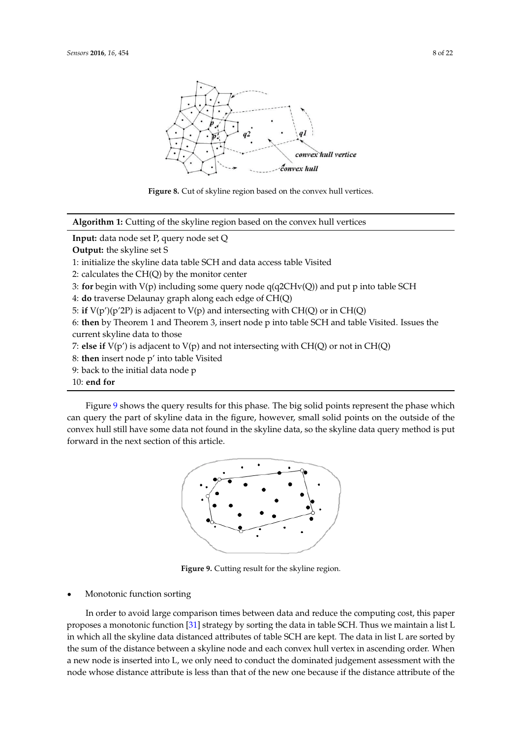<span id="page-7-0"></span>



**Algorithm 1:** Cutting of the skyline region based on the convex hull vertices **Algorithm 1:** Cutting of the skyline region based on the convex hull vertices

**Input:** data node set P, query node set Q

**Output:** the skyline set S

1: initialize the skyline data table SCH and data access table Visited

2: calculates the CH(Q) by the monitor center

3: for begin with  $V(p)$  including some query node  $q(q2CHv(Q))$  and put p into table SCH

5: **if** V(p')(p'2P) is adjacent to V(p) and intersecting with CH(Q) or in CH(Q) 4: **do** traverse Delaunay graph along each edge of CH(Q) 4: **do** traverse Delaunay graph along each edge of CH(Q)

5: if  $V(p')(p'2P)$  is adjacent to  $V(p)$  and intersecting with CH(Q) or in CH(Q)

6: then by Theorem 1 and Theorem 3, insert node p into table SCH and table Visited. Issues the current skyline data to those **current** skyline data to those

7: else if  $V(p')$  is adjacent to  $V(p)$  and not intersecting with CH(Q) or not in CH(Q)

8: **then** insert node p' into table Visited

9: back to the initial data node p

Figure 9 shows the query results for this phase. The big solid points represent the phase which points  $\mathcal{L}_\mathbf{p}$ 10: **end for** 10: **end for** 

<span id="page-7-1"></span>Figure [9](#page-7-1) shows the query results for this phase. The big solid points represent the phase which can query the part of skyline data in the figure, however, small solid points on the outside of the convex hull still have some data not found in the skyline data, so the skyline data query method is put forward in the next section of this article.



 $\overline{\phantom{a}}$ **Figure 9.** Cutting result for the skyline region. **Figure 9.** Cutting result for the skyline region.

# $\bullet$  Monotonic function sorting computing computing constants and reduce the computation sorting constants and reduce the constants of  $\sim$

 $p$  strategy by some proposes a monotonic function  $\mathcal{S}$  strategy by some data in table SCH. Thus we see that in order to avoid large comparison times between data and reduce the computing cost, this paper proposes a monotonic function  $[31]$  strategy by sorting the data in table SCH. Thus we maintain a list L in which all the skyline data distanced attributes or table SCH are kept. The data in list L are sorted by the sum of the aistance between a skyline hode and each convex hull vertex in ascending order. When a new node is inserted into L, we only need to conduct the dominated judgement assessment with the hode whose distance attribute is less than that of the new one because if the distance attribute of the In order to avoid large comparison times between data and reduce the computing cost, this In order to avoid large comparison times between data and reduce the computing cost, this paper paper proposes a monotonic function [31] strategy by sorting the data in table SCH. Thus we proposes a monotonic function [\[31\]](#page-20-15) strategy by sorting the data in table SCH. Thus we maintain a list L maintain a list L in which all the skyline data distanced attributes of table SCH are kept. The data in in which all the skyline data distanced attributes of table SCH are kept. The data in list L are sorted by If which an the skyline data distanced ditributes of task service kept. The data in list E are solide by the sum of the distance between a skyline node and each convex hull vertex in ascending order. When a new node is inserted into L, we only need to conduct the dominated judgement assessment with the a new node to meeting ment by we only here we condite the dominance judgment woodshould what with node whose distance attribute is less than that of the new one because if the distance attribute of the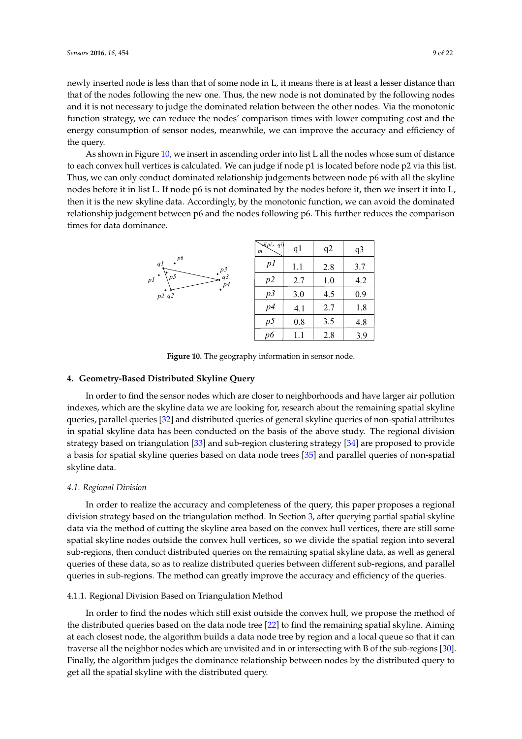newly inserted node is less than that of some node in L, it means there is at least a lesser distance than that of the nodes following the new one. Thus, the new node is not dominated by the following nodes and it is not necessary to judge the dominated relation between the other nodes. Via the monotonic function strategy, we can reduce the nodes' comparison times with lower computing cost and the energy consumption of sensor nodes, meanwhile, we can improve the accuracy and efficiency of the query.

As shown in Fig[ure](#page-8-1) 10, we insert in ascending order into list L all the nodes whose sum of distance to each convex hull vertices is calculated. We can judge if node p1 is located before node p2 via this list. Thus, we can only conduct dominated relationship judgements between node p6 with all the skyline nodes before it in list L. If node p6 is not dominated by the nodes before it, then we insert it into L, then it is the new skyline data. Accordingly, by the monotonic function, we can avoid the dominated relationship judgement between p6 and the nodes following p6. This further reduces the comparison times for data dominance.

<span id="page-8-1"></span>

|                                         | $\forall$ l $(pi, qi)$<br>pi | q <sub>1</sub> | q2  | q <sub>3</sub> |
|-----------------------------------------|------------------------------|----------------|-----|----------------|
| p6<br>qI<br>p3                          | pl                           | 1.1            | 2.8 | 3.7            |
| p5<br>q3<br>рI<br>$\cdot$ <sup>p4</sup> | p2                           | 2.7            | 1.0 | 4.2            |
| p2q2                                    | p3                           | 3.0            | 4.5 | 0.9            |
|                                         | p4                           | 4.1            | 2.7 | 1.8            |
|                                         | p <sub>5</sub>               | 0.8            | 3.5 | 4.8            |
|                                         | pб                           |                | 2.8 | 3.9            |

**Figure 10.** The geography information in sensor node. **Figure 10.** The geography information in sensor node.

## <span id="page-8-0"></span>**4. Geometry-Based Distributed Skyline Query 4. Geometry-Based Distributed Skyline Query**

In order to find the sensor nodes which are closer to neighborhoods and have larger air In order to find the sensor nodes which are closer to neighborhoods and have larger air pollution indexes, which are the skyline data we are looking for, research about the remaining spatial skyline queries, parallel queries [\[32\]](#page-20-16) and distributed queries of general skyline queries of non-spatial attributes in spatial skyline data has been conducted on the basis of the above study. The regional division  $T_{\rm{max}}$  and division strategy based on triangulation strategy based on triangulation  $534$  and sub-region clustering strategy  $\frac{1}{24}$ strategy based on triangulation [\[33\]](#page-20-17) and sub-region clustering strategy [\[34\]](#page-20-18) are proposed to provide to the strategy [34] are proposed to provide a basis for spatial skyline queries based on data node trees [\[35\]](#page-20-19) and parallel queries of non-spatial skyline data.

# *4.1. Regional Division 4.1. Regional Division*

In order to realize the accuracy and completeness of the query, this paper proposes a regional In order to realize the accuracy and completeness of the query, this paper proposes a regional division strategy based on the triangulation method. In Section [3,](#page-3-0) after querying partial spatial skyline data via the method of cutting the skyline area based on the convex hull vertices, there are still some spatial skyline nodes outside the convex hull vertices, so we divide the spatial region into several sub-regions, then conduct distributed queries on the remaining spatial skyline data, as well as general queries of these data, so as to realize distributed queries between different sub-regions, and parallel queries in sub-regions. The method can greatly improve the accuracy and efficiency of the queries.

#### 4.1.1. Regional Division Based on Triangulation Method 4.1.1. Regional Division Based on Triangulation Method

In order to find the nodes which still exist outside the convex hull, we propose the method of In order to find the nodes which still exist outside the convex hull, we propose the method of the distributed queries based on the data node tree [22] to find the remaining spatial skyline. Aiming the distributed queries based on the data node tree [\[22\]](#page-20-7) to find the remaining spatial skyline. Aiming at each closest node, the algorithm builds a data node tree by region and a local queue so that it can at each closest node, the algorithm builds a data node tree by region and a local queue so that it can traverse all the neighbor nodes which are unvisited and in or intersecting with B of the sub-regions traverse all the neighbor nodes which are unvisited and in or intersecting with B of the sub-regions [\[30\]](#page-20-14). Finally, the algorithm judges the dominance relationship between nodes by the distributed query to  $\frac{1}{2}$  to get all the spatial skyline with the distributed query. get all the spatial skyline with the distributed query.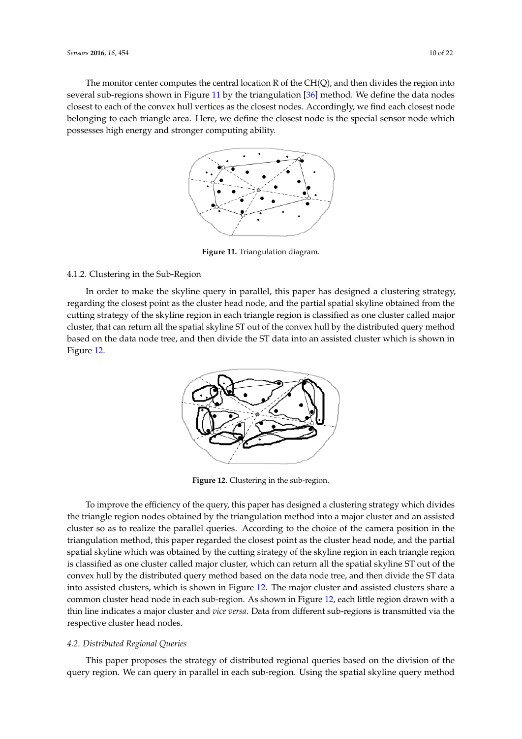<span id="page-9-0"></span>The monitor center computes the central location R of the CH(Q), and then divides the region into *Sensors* **2016**, *16*, 454 10 of 21 *Sensors* **2016**, *16*, 454 10 of 21 several sub-regions shown in Figure [11](#page-9-0) by the triangulation [\[36\]](#page-20-20) method. We define the data nodes closest to each of the convex hull vertices as the closest nodes. Accordingly, we find each closest node belonging to each triangle area. Here, we define the closest node is the special sensor node which possesses high energy and stronger computing ability.



**Figure 11.** Triangulation diagram. **Figure 11.** Triangulation diagram. **Figure 11.** Triangulation diagram.

## 4.1.2. Clustering in the Sub-Region 4.1.2. Clustering in the Sub-Region 4.1.2. Clustering in the Sub-Region

<span id="page-9-1"></span>In order to make the skyline query in parallel, this paper has designed a clustering strategy, regarding the closest point as the cluster head node, and the partial spatial skyline obtained from the cutting strategy of the skyline region in each triangle region is classified as one cluster called major cluster, that can return all the spatial skyline ST out of the convex hull by the distributed query method based on the data node tree, and then divide the ST data into an assisted cluster which is shown in Figure 12.



**Figure 12.** Clustering in the sub-region. **Figure 12.** Clustering in the sub-region. **Figure 12.** Clustering in the sub-region.

To improve the efficiency of the query, this paper has designed a clustering strategy which divides the triangle region nodes obtained by the triangulation method into a major cluster and an assisted cluster so as to realize the parallel queries. According to the choice of the camera position in the triangulation method, this paper regarded the closest point as the cluster head node, and the partial enargulation method, and paper regarded the closest point as the claster nead node, and the partial skyline which was obtained by the cutting strategy of the skyline region in each triangle region is classified as one cluster called major cluster, which can return all the spatial skyline ST out of the convex hull by the distributed query method based on the data node tree, and then divide the ST data into assisted clusters, which is shown in Figure [12.](#page-9-1) The major cluster and assisted clusters share a common cluster head node in each sub-region. As shown in Figure [12,](#page-9-1) each little region drawn with a region drawn with a thin line indicates a major cluster and *vice versas and a major different sub-region* drawn with a is transmitted via the respective cluster and one octom. But thin line indicates a major cluster and vice versa. Data from different sub-regions is transmitted via the respective cluster head nodes.

# *4.2. Distributed Regional Queries 4.2. Distributed Regional Queries 4.2. Distributed Regional Queries*

This paper proposes the strategy of distributed regional queries based on the division of the query region. We can query in parallel in each sub-region. Using the spatial skyline query method  $\begin{bmatrix} 1 & 3 & 0 \\ 0 & 1 & 1 \end{bmatrix}$  in the remaining spatial spatial spatial spatial spatial spatial spatial spatial spatial spatial spatial spatial spatial spatial spatial spatial spatial spatial spatial spatial spatial spat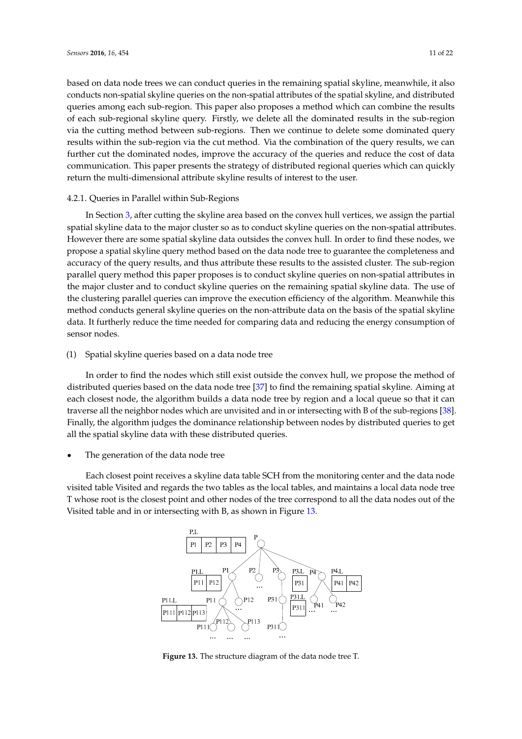based on data node trees we can conduct queries in the remaining spatial skyline, meanwhile, it also conducts non-spatial skyline queries on the non-spatial attributes of the spatial skyline, and distributed queries among each sub-region. This paper also proposes a method which can combine the results of each sub-regional skyline query. Firstly, we delete all the dominated results in the sub-region via the cutting method between sub-regions. Then we continue to delete some dominated query results within the sub-region via the cut method. Via the combination of the query results, we can further cut the dominated nodes, improve the accuracy of the queries and reduce the cost of data communication. This paper presents the strategy of distributed regional queries which can quickly return the multi-dimensional attribute skyline results of interest to the user.

#### 4.2.1. Queries in Parallel within Sub-Regions can quickly return the multi-dimensional attribute skyline results of interest to the user.

In Section [3,](#page-3-0) after cutting the skyline area based on the convex hull vertices, we assign the partial spatial skyline data to the major cluster so as to conduct skyline queries on the non-spatial attributes. However there are some spatial skyline data outsides the convex hull. In order to find these nodes, we propose a spatial skyline query method based on the data node tree to guarantee the completeness and accuracy of the query results, and thus attribute these results to the assisted cluster. The sub-region parallel query method this paper proposes is to conduct skyline queries on non-spatial attributes in the major cluster and to conduct skyline queries on the remaining spatial skyline data. The use of the clustering parallel queries can improve the execution efficiency of the algorithm. Meanwhile this method conducts general skyline queries on the non-attribute data on the basis of the spatial skyline data. It furtherly reduce the time needed for comparing data and reducing the energy consumption of sensor nodes.  $b_{\rm s}$  sensor nodes. It functions are deduced for comparing data and time needed for comparing data and  $a_{\rm s}$ 

# (1) Spatial skyline queries based on a data node tree

In order to find the nodes which still exist outside the convex hull, we propose the method of distributed queries based on the data node tree [\[37\]](#page-20-21) to find the remaining spatial skyline. Aiming at each closest node, the algorithm builds a data node tree by region and a local queue so that it can traverse all the neighbor nodes which are unvisited and in or intersecting with B of the sub-regions [\[38\]](#page-20-22). Finally, the algorithm judges the dominance relationship between nodes by distributed queries to get all the spatial skyline data with these distributed queries.  $\frac{1}{\sqrt{2}}$ 

' The generation of the data node tree The generation of the data node tree

<span id="page-10-0"></span>Each closest point receives a skyline data table SCH from the monitoring center and the data node Each closest point receives a skyline data table SCH from the monitoring center and the data visited table Visited and regards the two tables as the local tables, and maintains a local data node tree T whose root is the closest point and other nodes of the tree correspond to all the data nodes out of the Visited table and in or intersecting with B, a[s sh](#page-10-0)own in Figure 13.



**Figure 13.** The structure diagram of the data node tree T. Figure 13. The structure diagram of the data node tree T.<br> **Figure 13.** The structure diagram of the data node tree T.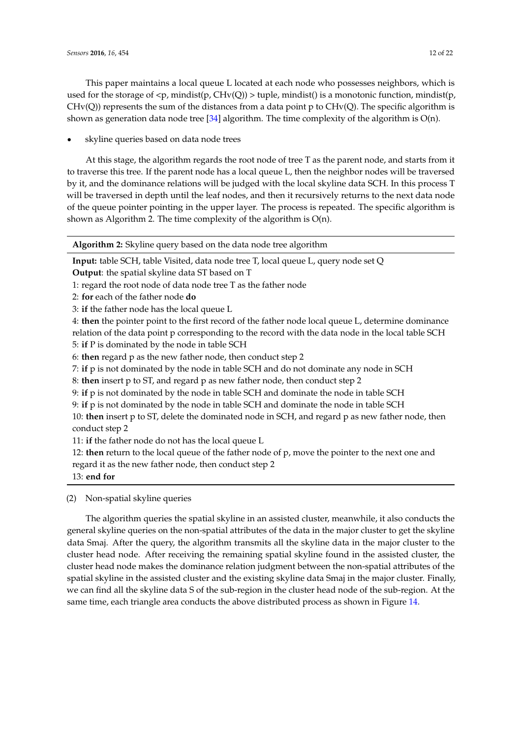This paper maintains a local queue L located at each node who possesses neighbors, which is used for the storage of  $\langle p, \text{mindist}(p, CHv(Q)) \rangle$  tuple, mindist() is a monotonic function, mindist(p,  $CHv(Q)$ ) represents the sum of the distances from a data point p to  $CHv(Q)$ . The specific algorithm is shown as generation data node tree [\[34\]](#page-20-18) algorithm. The time complexity of the algorithm is  $O(n)$ .

skyline queries based on data node trees

At this stage, the algorithm regards the root node of tree T as the parent node, and starts from it to traverse this tree. If the parent node has a local queue L, then the neighbor nodes will be traversed by it, and the dominance relations will be judged with the local skyline data SCH. In this process T will be traversed in depth until the leaf nodes, and then it recursively returns to the next data node of the queue pointer pointing in the upper layer. The process is repeated. The specific algorithm is shown as Algorithm 2. The time complexity of the algorithm is O(n).

**Algorithm 2:** Skyline query based on the data node tree algorithm

**Input:** table SCH, table Visited, data node tree T, local queue L, query node set Q **Output**: the spatial skyline data ST based on T

1: regard the root node of data node tree T as the father node

- 2: **for** each of the father node **do**
- 3: **if** the father node has the local queue L

4: **then** the pointer point to the first record of the father node local queue L, determine dominance relation of the data point p corresponding to the record with the data node in the local table SCH

5: **if** P is dominated by the node in table SCH

6: **then** regard p as the new father node, then conduct step 2

7: **if** p is not dominated by the node in table SCH and do not dominate any node in SCH

8: **then** insert p to ST, and regard p as new father node, then conduct step 2

9: **if** p is not dominated by the node in table SCH and dominate the node in table SCH

9: **if** p is not dominated by the node in table SCH and dominate the node in table SCH

10: **then** insert p to ST, delete the dominated node in SCH, and regard p as new father node, then conduct step 2

11: **if** the father node do not has the local queue L

12: **then** return to the local queue of the father node of p, move the pointer to the next one and regard it as the new father node, then conduct step 2

13: **end for**

(2) Non-spatial skyline queries

The algorithm queries the spatial skyline in an assisted cluster, meanwhile, it also conducts the general skyline queries on the non-spatial attributes of the data in the major cluster to get the skyline data Smaj. After the query, the algorithm transmits all the skyline data in the major cluster to the cluster head node. After receiving the remaining spatial skyline found in the assisted cluster, the cluster head node makes the dominance relation judgment between the non-spatial attributes of the spatial skyline in the assisted cluster and the existing skyline data Smaj in the major cluster. Finally, we can find all the skyline data S of the sub-region in the cluster head node of the sub-region. At the same time, each triangle area conducts the above distributed process as shown in Figure [14.](#page-12-0)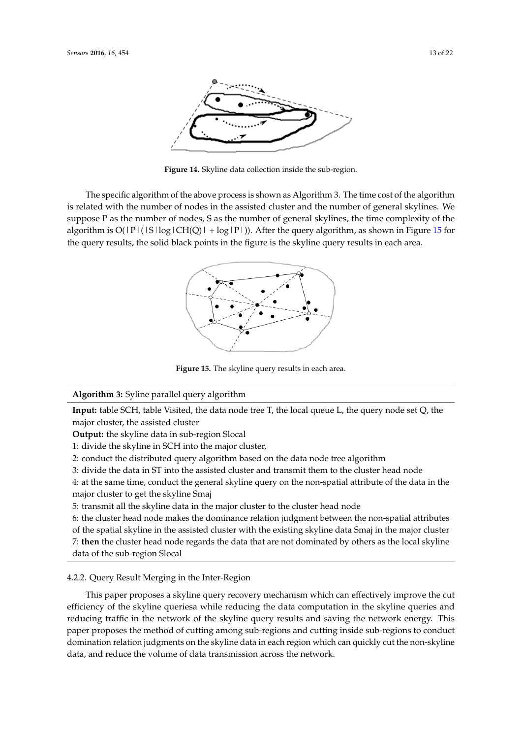<span id="page-12-0"></span>

**Figure 14.** Skyline data collection inside the sub-region. **Figure 14.** Skyline data collection inside the sub-region.

<span id="page-12-1"></span>The specific algorithm of the above process is shown as Algorithm 3. The time cost of the The specific algorithm of the above process is shown as Algorithm 3. The time cost of the algorithm is related with the number of nodes in the assisted cluster and the number of general skylines. We suppose P as the number of nodes, S as the number of general skylines, the time complexity of the algorithm is  $O(|P|(|S| \log |CH(Q)| + \log |P|))$ . After the [que](#page-12-1)ry algorithm, as shown in Figure 15 for the query results, the solid black points in the figure is the skyline query results in each area.



**Figure 15.** The skyline query results in each area. **Figure 15.** The skyline query results in each area.

**Algorithm 3:** Syline parallel query algorithm **Algorithm 3:** Syline parallel query algorithm **Industrial SCH, table SCH, the data node tree T, the data node tree T, the local queue L, the data node set Q, the data node set**  $\mathcal{L}$  **the data node set**  $\mathcal{L}$  **the data node set**  $\mathcal{L}$  **the data node set**  $\mathcal{L}$  **th** 

**Input:** table SCH, table Visited, the data node tree T, the local queue L, the query node set Q, the major cluster, the assisted cluster

**Output:** the skyline data in sub-region Slocal

1: divide the skyline in SCH into the major cluster,

2: conduct the distributed query algorithm based on the data node tree algorithm

3: divide the data in ST into the assisted cluster and transmit them to the cluster head node

4: at the same time, conduct the general skyline query on the non-spatial attribute of the data in the major cluster to get the skyline Smaj

5: transmit all the skyline data in the major cluster to the cluster head node

6: the cluster head node makes the dominance relation judgment between the non-spatial attributes of the spatial skyline in the assisted cluster with the existing skyline data Smaj in the major cluster 7: **then** the cluster head node regards the data that are not dominated by others as the local 7: **then** the cluster head node regards the data that are not dominated by others as the local skyline data of the sub-region Slocal

## 4.2.2. Query Result Merging in the Inter-Region 4.2.2. Query Result Merging in the Inter-Region

This paper proposes a skyline query recovery mechanism which can effectively improve the cut This paper proposes a skyline query recovery mechanism which can effectively improve the cut efficiency of the skyline queriesa while reducing the data computation in the skyline queries and efficiency of the skyline queriesa while reducing the data computation in the skyline queries and<br>reducing traffic in the network of the skyline query results and saving the network energy. This paper proposes the method of cutting among sub-regions and cutting inside sub-regions to conduct paper proposes the method of cutting among sub-regions and cutting inside sub-regions to conduct<br>domination relation judgments on the skyline data in each region which can quickly cut the non-skyline data, and reduce the volume of data transmission across the network.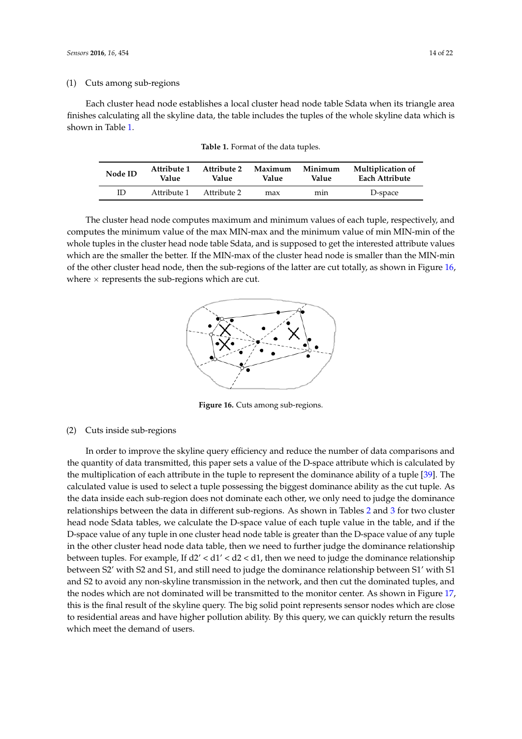<span id="page-13-0"></span>Each cluster head node establishes a local cluster head node table Sdata when its triangle area finishes calculating all the skyline data, the table includes the tuples of the whole skyline data which is shown in Table [1.](#page-13-0)

| Node ID | Attribute 1 | Attribute 2 | Maximum | Minimum | <b>Multiplication of</b> |
|---------|-------------|-------------|---------|---------|--------------------------|
|         | Value       | Value       | Value   | Value   | Each Attribute           |
| ID      | Attribute 1 | Attribute 2 | max     | mın     | D-space                  |

**Table 1.** Format of the data tuples.

<span id="page-13-1"></span>The cluster head node computes maximum and minimum values of each tuple, respectively, and computes the minimum value of the max MIN-max and the minimum value of min MIN-min of the whole tuples in the cluster head node table Sdata, and is supposed to get the interested attribute values *Sensors* **2016**, *16*, 454 14 of 21 which are the smaller the better. If the MIN-max of the cluster head node is smaller than the MIN-min of the other cluster head node, then the sub-regions of the latter are cut totally, as shown in Figure  $16$ , where  $\times$  represents the sub-regions which are cut.



**Figure 16.** Cuts among sub-regions. **Figure 16.** Cuts among sub-regions.

# (2) Cuts inside sub-regions (2) Cuts inside sub-regions

In order to improve the skyline query efficiency and reduce the number of data comparisons and the quantity of data transmitted, this paper sets a value of the D-space attribute which is calculated by the multiplication of each attribute in the tuple to represent the dominance ability of a tuple [\[39\]](#page-21-0). The calculated value is used to select a tuple possessing the biggest dominance ability as the cut tuple. As the data inside each sub-region does not dominate each other, we only need to judge the dominance relationships between the data in different sub-regions. As shown in Tables 2 and 3 for two c[lu](#page-14-1)ster head node Sdata tables, we calculate the D-space value of each tuple value in the table, and if the D-space value of any tuple in one cluster head node table is greater than the D-space value of any tuple in the other cluster head node data table, then we need to further judge the dominance relationship between tuples. For example, If  $d2' < d1' < d2 < d1$ , then we need to judge the dominance relationship between S2' with S2 and S1, and still need to judge the dominance relationship between S1' with S1 and S2 to avoid any non-skyline transmission in the network, and then cut the dominated tuples, and the nodes which are not dominated will be transmitted to the monitor center. As shown in Figure [17,](#page-14-2) this is the final result of the skyline query. The big solid point represents sensor nodes which are close to residential areas and have higher pollution ability. By this query, we can quickly return the results which meet the demand of users.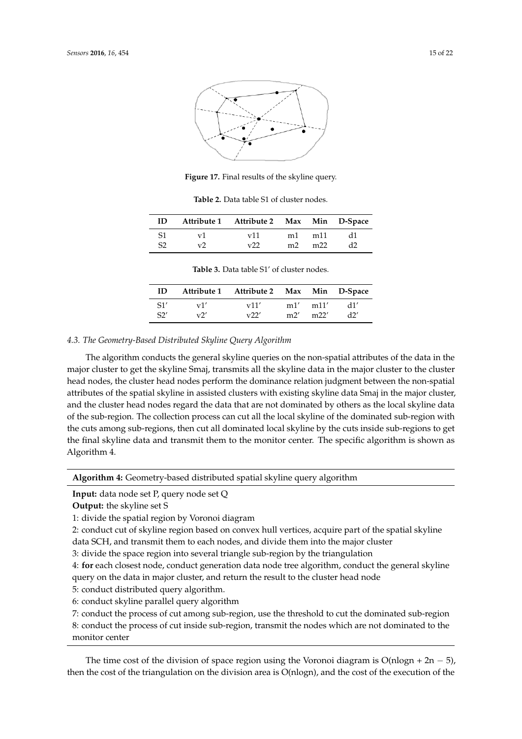<span id="page-14-2"></span>

**Figure 17.** Final results of the skyline query. **Figure 17.** Final results of the skyline query.

**Table 2.** Data table S1 of cluster nodes. **Table 2.** Data table S1 of cluster nodes.

<span id="page-14-0"></span>

| ID |                     | Attribute 1 Attribute 2 Max Min D-Space |                |     |    |
|----|---------------------|-----------------------------------------|----------------|-----|----|
|    | $\mathbf{V}^{\top}$ | v11                                     | m1             | m11 | d1 |
| S2 | $\mathbf{v}$        | $\mathbf{v}$                            | m <sub>2</sub> | m22 |    |

**Table 3.** Data table S1' of cluster nodes. **Table 3.** Data table S1' of cluster nodes.

| ID  |          | Attribute 1 Attribute 2 Max Min D-Space |     |      |     |
|-----|----------|-----------------------------------------|-----|------|-----|
| S1' | v1'      | v11'                                    | m1' | m11' | d1' |
| S2' | $\nabla$ | v22'                                    | m2' | m22' | 22, |

### <span id="page-14-1"></span>*4.3. The Geometry-Based Distributed Skyline Query Algorithm*

The algorithm conducts the general skyline queries on the non-spatial attributes of the data in the major cluster to get the skyline Smaj, transmits all the skyline data in the major cluster to the cluster head nodes, the cluster head nodes perform the dominance relation judgment between the non-spatial attributes of the spatial skyline in assisted clusters with existing skyline data Smaj in the major cluster, and the cluster head nodes regard the data that are not dominated by others as the local skyline data of the sub-region. The collection process can cut all the local skyline of the dominated sub-region with the cuts among sub-regions, then cut all dominated local skyline by the cuts inside sub-regions to get the final skyline data and transmit them to the monitor center. The specific algorithm is shown as Algorithm 4.

**Algorithm 4:** Geometry-based distributed spatial skyline query algorithm

**Input:** data node set P, query node set Q

**Output:** the skyline set S

1: divide the spatial region by Voronoi diagram

2: conduct cut of skyline region based on convex hull vertices, acquire part of the spatial skyline data SCH, and transmit them to each nodes, and divide them into the major cluster

3: divide the space region into several triangle sub-region by the triangulation

4: **for** each closest node, conduct generation data node tree algorithm, conduct the general skyline query on the data in major cluster, and return the result to the cluster head node

5: conduct distributed query algorithm.

6: conduct skyline parallel query algorithm

7: conduct the process of cut among sub-region, use the threshold to cut the dominated sub-region

8: conduct the process of cut inside sub-region, transmit the nodes which are not dominated to the monitor center

The time cost of the division of space region using the Voronoi diagram is  $O(n \log n + 2n - 5)$ , then the cost of the triangulation on the division area is O(nlogn), and the cost of the execution of the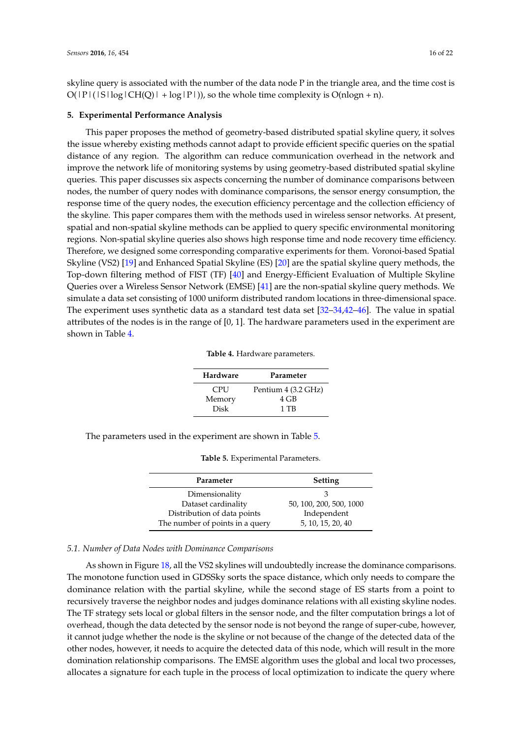skyline query is associated with the number of the data node P in the triangle area, and the time cost is  $O(|P|(|S| \log |CH(Q)| + \log |P|))$ , so the whole time complexity is  $O(n \log n + n)$ .

#### <span id="page-15-0"></span>**5. Experimental Performance Analysis**

This paper proposes the method of geometry-based distributed spatial skyline query, it solves the issue whereby existing methods cannot adapt to provide efficient specific queries on the spatial distance of any region. The algorithm can reduce communication overhead in the network and improve the network life of monitoring systems by using geometry-based distributed spatial skyline queries. This paper discusses six aspects concerning the number of dominance comparisons between nodes, the number of query nodes with dominance comparisons, the sensor energy consumption, the response time of the query nodes, the execution efficiency percentage and the collection efficiency of the skyline. This paper compares them with the methods used in wireless sensor networks. At present, spatial and non-spatial skyline methods can be applied to query specific environmental monitoring regions. Non-spatial skyline queries also shows high response time and node recovery time efficiency. Therefore, we designed some corresponding comparative experiments for them. Voronoi-based Spatial Skyline (VS2) [\[19\]](#page-20-4) and Enhanced Spatial Skyline (ES) [\[20\]](#page-20-5) are the spatial skyline query methods, the Top-down filtering method of FIST (TF) [\[40\]](#page-21-1) and Energy-Efficient Evaluation of Multiple Skyline Queries over a Wireless Sensor Network (EMSE) [\[41\]](#page-21-2) are the non-spatial skyline query methods. We simulate a data set consisting of 1000 uniform distributed random locations in three-dimensional space. The experiment uses synthetic data as a standard test data set [\[32](#page-20-16)[–34,](#page-20-18)[42–](#page-21-3)[46\]](#page-21-4). The value in spatial attributes of the nodes is in the range of [0, 1]. The hardware parameters used in the experiment are shown in Table [4.](#page-15-1)

|  |  | Table 4. Hardware parameters. |
|--|--|-------------------------------|
|--|--|-------------------------------|

| Hardware    | Parameter           |
|-------------|---------------------|
| <b>CPU</b>  | Pentium 4 (3.2 GHz) |
| Memory      | 4 GB                |
| <b>Disk</b> | 1 TB                |

<span id="page-15-2"></span><span id="page-15-1"></span>The parameters used in the experiment are shown in Table [5.](#page-15-2)

**Table 5.** Experimental Parameters.

| Parameter                       | Setting                 |
|---------------------------------|-------------------------|
| Dimensionality                  | З                       |
| Dataset cardinality             | 50, 100, 200, 500, 1000 |
| Distribution of data points     | Independent             |
| The number of points in a query | 5, 10, 15, 20, 40       |

#### *5.1. Number of Data Nodes with Dominance Comparisons*

As shown in Figure [18,](#page-16-0) all the VS2 skylines will undoubtedly increase the dominance comparisons. The monotone function used in GDSSky sorts the space distance, which only needs to compare the dominance relation with the partial skyline, while the second stage of ES starts from a point to recursively traverse the neighbor nodes and judges dominance relations with all existing skyline nodes. The TF strategy sets local or global filters in the sensor node, and the filter computation brings a lot of overhead, though the data detected by the sensor node is not beyond the range of super-cube, however, it cannot judge whether the node is the skyline or not because of the change of the detected data of the other nodes, however, it needs to acquire the detected data of this node, which will result in the more domination relationship comparisons. The EMSE algorithm uses the global and local two processes, allocates a signature for each tuple in the process of local optimization to indicate the query where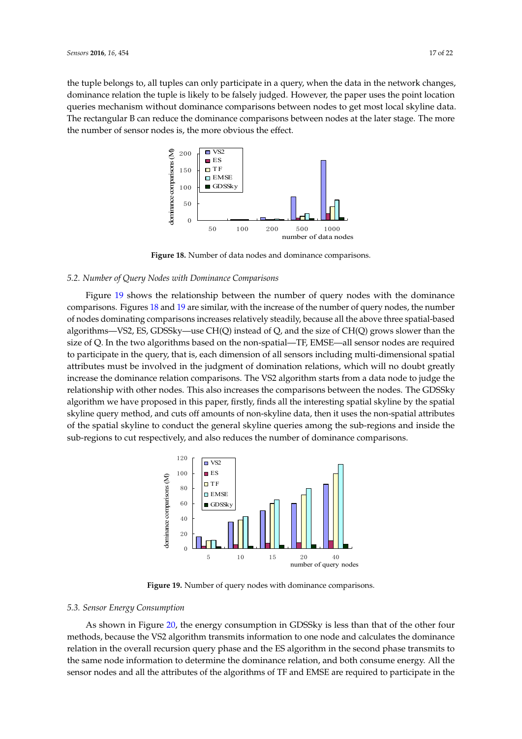<span id="page-16-0"></span>the tuple belongs to, all tuples can only participate in a query, when the data in the network changes, dominance relation the tuple is likely to be falsely judged. However, the paper uses the point location queries mechanism without dominance comparisons between nodes to get most local skyline data. The rectangular B can reduce the dominance comparisons between nodes at the later stage. The more the number of sensor nodes is, the more obvious the effect.



**Figure 18.** Number of data nodes and dominance comparisons. **Figure 18.** Number of data nodes and dominance comparisons.

## *5.2. Number of Query Nodes with Dominance Comparisons 5.2. Number of Query Nodes with Dominance Comparisons*

Figure [19](#page-16-1) shows the relationship between the number of query nodes with the dominance Figure 19 shows the relationship between the number of query nodes with the dominance comparisons. Figure[s 18](#page-16-0) an[d 1](#page-16-1)9 are similar, with the increase of the number of query nodes, the number of nodes dominating comparisons increases relatively steadily, because all the above three spatial-based algorithms-VS2, ES, GDSSky-use CH(Q) instead of Q, and the size of CH(Q) grows slower than the size of Q. In the two algorithms based on the non-spatial—TF, EMSE—all sensor nodes are required to participate in the query, that is, each dimension of all sensors including multi-dimensional spatial attributes must be involved in the judgment of domination relations, which will no doubt greatly attributes must be involved in the judgment of domination relations, which will no doubt greatly increase the dominance relation comparisons. The VS2 algorithm starts from a data node to judge the relationship with other nodes. This also increases the comparisons between the nodes. The GDSSky algorithm we have proposed in this paper, firstly, finds all the interesting spatial skyline by the spatial skyline query method, and cuts off amounts of non-skyline data, then it uses the non-spatial attributes of the spatial skyline to conduct the general skyline queries among the sub-regions and inside the sub-regions to cut respectively, and also reduces the number of dominance comparisons. sub-regions to cut respectively, and also reduces the number of dominance comparisons.

<span id="page-16-1"></span>

**Figure 19.** Number of query nodes with dominance comparisons. **Figure 19.** Number of query nodes with dominance comparisons.

## *5.3. Sensor Energy Consumption 5.3. Sensor Energy Consumption*

As shown in Figure 20, the energy consumption in GDSSky is less than that of the other four As shown in Figure [20,](#page-17-0) the energy consumption in GDSSky is less than that of the other four methods, because the VS2 algorithm transmits information to one node and calculates the methods, because the VS2 algorithm transmits information to one node and calculates the dominance relation in the overall recursion query phase and the ES algorithm in the second phase transmits to the same node information to determine the dominance relation, and both consume energy. All the sensor nodes and all the attributes of the algorithms of TF and EMSE are required to participate in the  $\frac{1}{1}$  dominance relation  $\frac{1}{1}$  dominant  $\frac{1}{1}$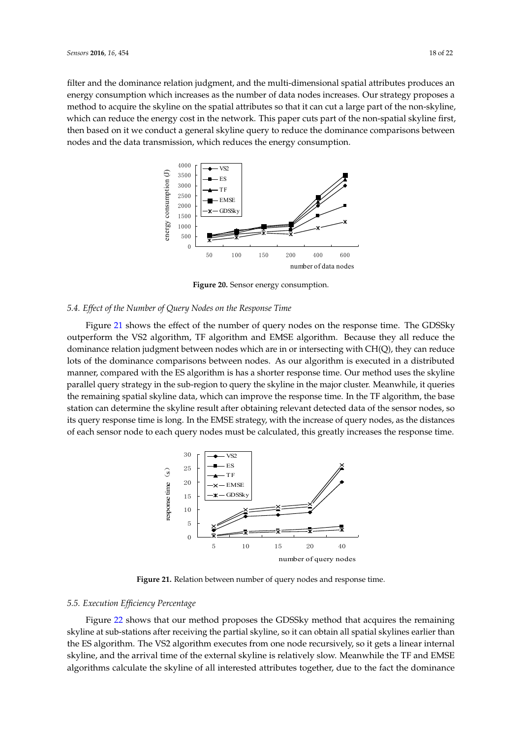<span id="page-17-0"></span>filter and the dominance relation judgment, and the multi-dimensional spatial attributes produces an energy consumption which increases as the number of data nodes increases. Our strategy proposes a method to acquire the skyline on the spatial attributes so that it can cut a large part of the non-skyline, which can reduce the energy cost in the network. This paper cuts part of the non-spatial skyline first, then based on it we conduct a general skyline query to reduce the dominance comparisons between nodes and the data transmission*,* which reduces the energy consumption.



**Figure 20.** Sensor energy consumption. **Figure 20.** Sensor energy consumption.

# *5.4. Effect of the Number of Query Nodes on the Response Time 5.4. Effect of the Number of Query Nodes on the Response Time*

Figure [21](#page-17-1) shows the effect of the number of query nodes on the response time. The GDSSky outperform the VS2 algorithm, TF algorithm and EMSE algorithm. Because they all reduce the dominance relation judgment between nodes which are in or intersecting with CH(Q), they can dominance relation judgment between nodes which are in or intersecting with CH(Q), they can reduce lots of the dominance comparisons between nodes. As our algorithm is executed in a distributed manner, compared with the ES algorithm is has a shorter response time. Our method uses the skyline parallel query strategy in the sub-region to query the skyline in the major cluster. Meanwhile, it queries the remaining spatial skyline data, which can improve the response time. In the TF algorithm, the base station can determine the skyline result after obtaining relevant detected data of the sensor nodes, so its query response time is long. In the EMSE strategy, with the increase of query nodes, as the distances of each sensor node to each query nodes must be calculated, this greatly increases the response time. greatly increases the response time.

<span id="page-17-1"></span>

**Figure 21.** Relation between number of query nodes and response time. **Figure 21.** Relation between number of query nodes and response time.

# *5.5. Execution Efficiency Percentage 5.5. Execution Efficiency Percentage*

Figure [22](#page-18-1) shows that our method proposes the GDSSky method that acquires the remaining skyline at sub-stations after receiving the partial skyline, so it can obtain all spatial skylines earlier than than the ES algorithm. The VS2 algorithm executes from one node recursively, so it gets a linear the ES algorithm. The VS2 algorithm executes from one node recursively, so it gets a linear internal skyline, and the arrival time of the external skyline is relatively slow. Meanwhile the TF and EMSE algorithms calculate the skyline of all interested attributes together, due to the fact the deminance algorithms calculate the skyline of all interested attributes together, due to the fact the dominance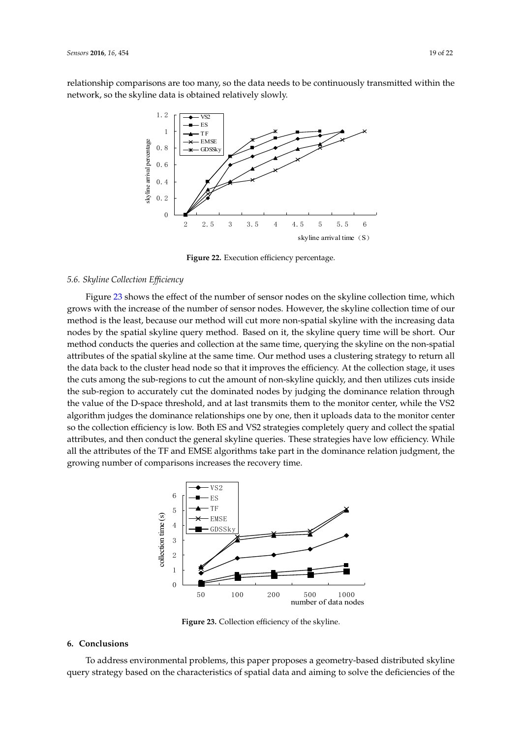<span id="page-18-1"></span>relationship comparisons are too many, so the data needs to be continuously transmitted within the network, so the skyline data is obtained relatively slowly.



**Figure 22.** Execution efficiency percentage. **Figure 22.** Execution efficiency percentage.

## *5.6. Skyline Collection Efficiency 5.6. Skyline Collection Efficiency*

Figure [23](#page-18-2) shows the effect of the number of sensor nodes on the skyline collection time, which grows with the increase of the number of sensor nodes. However, the skyline collection time of our grows with the increase of the number of sensor nodes. However, the skyline collection time of our method is the least, because our method will cut more non-spatial skyline with the increasing data method is the least, because our method will cut more non-spatial skyline with the increasing data nodes by the spatial skyline query method. Based on it, the skyline query time will be short. Our nodes by the spatial skyline query method. Based on it, the skyline query time will be short. Our method conducts the queries and collection at the same time, querying the skyline on the method conducts the queries and collection at the same time, querying the skyline on the non-spatial attributes of the spatial skyline at the same time. Our method uses a clustering strategy to return all the data back to the cluster head node so that it improves the efficiency. At the collection stage, it uses the cuts among the sub-regions to cut the amount of non-skyline quickly, and then utilizes cuts inside the cuts among the sub-regions to cut the amount of non-skyline quickly, and then utilizes cuts inside<br>the sub-region to accurately cut the dominated nodes by judging the dominance relation through the value of the D-space threshold, and at last transmits them to the monitor center, while the VS2<br>algorithm judges the dominance relationships one by one, then it uploads data to the monitor center algorithm judges the dominance relationships one by one, then it uploads data to the monitor center so the collection efficiency is low. Both ES and VS2 strategies completely query and collect the spatial so the collection efficiency is low. Both ES and VS2 strategies completely query and collect the spatial<br>attributes, and then conduct the general skyline queries. These strategies have low efficiency. While all the attributes of the TF and EMSE algorithms take part in the dominance relation judgment, the<br>growing number of comparisons increases the recovery time. growing number of comparisons increases the recovery time.

<span id="page-18-2"></span>

**Figure 23.** Collection efficiency of the skyline. **Figure 23.** Collection efficiency of the skyline.

## <span id="page-18-0"></span>**6. Conclusions 6. Conclusions**

To address environmental problems, this paper proposes a geometry-based distributed skyline To address environmental problems, this paper proposes a geometry-based distributed skyline query strategy based on the characteristics of spatial data and aiming to solve the deficiencies of the query strategy based on the characteristics of spatial data and aiming to solve the deficiencies of theexisting skyline  $\mathcal{L}$  strategies. We design a clustering strategy for the parallel execution of the parallel execution of the parallel execution of the parallel execution of the parallel execution of the parallel exec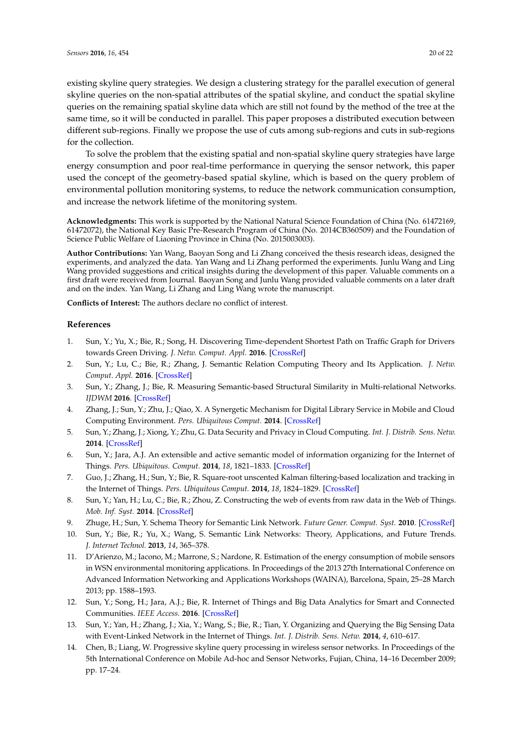existing skyline query strategies. We design a clustering strategy for the parallel execution of general skyline queries on the non-spatial attributes of the spatial skyline, and conduct the spatial skyline queries on the remaining spatial skyline data which are still not found by the method of the tree at the same time, so it will be conducted in parallel. This paper proposes a distributed execution between different sub-regions. Finally we propose the use of cuts among sub-regions and cuts in sub-regions for the collection.

To solve the problem that the existing spatial and non-spatial skyline query strategies have large energy consumption and poor real-time performance in querying the sensor network, this paper used the concept of the geometry-based spatial skyline, which is based on the query problem of environmental pollution monitoring systems, to reduce the network communication consumption, and increase the network lifetime of the monitoring system.

**Acknowledgments:** This work is supported by the National Natural Science Foundation of China (No. 61472169, 61472072), the National Key Basic Pre-Research Program of China (No. 2014CB360509) and the Foundation of Science Public Welfare of Liaoning Province in China (No. 2015003003).

**Author Contributions:** Yan Wang, Baoyan Song and Li Zhang conceived the thesis research ideas, designed the experiments, and analyzed the data. Yan Wang and Li Zhang performed the experiments. Junlu Wang and Ling Wang provided suggestions and critical insights during the development of this paper. Valuable comments on a first draft were received from Journal. Baoyan Song and Junlu Wang provided valuable comments on a later draft and on the index. Yan Wang, Li Zhang and Ling Wang wrote the manuscript.

**Conflicts of Interest:** The authors declare no conflict of interest.

#### **References**

- <span id="page-19-0"></span>1. Sun, Y.; Yu, X.; Bie, R.; Song, H. Discovering Time-dependent Shortest Path on Traffic Graph for Drivers towards Green Driving. *J. Netw. Comput. Appl.* **2016**. [\[CrossRef\]](http://dx.doi.org/10.1016/j.jnca.2015.10.018)
- <span id="page-19-1"></span>2. Sun, Y.; Lu, C.; Bie, R.; Zhang, J. Semantic Relation Computing Theory and Its Application. *J. Netw. Comput. Appl.* **2016**. [\[CrossRef\]](http://dx.doi.org/10.1016/j.jnca.2014.09.017)
- <span id="page-19-2"></span>3. Sun, Y.; Zhang, J.; Bie, R. Measuring Semantic-based Structural Similarity in Multi-relational Networks. *IJDWM* **2016**. [\[CrossRef\]](http://dx.doi.org/10.4018/IJDWM.2016010102)
- <span id="page-19-3"></span>4. Zhang, J.; Sun, Y.; Zhu, J.; Qiao, X. A Synergetic Mechanism for Digital Library Service in Mobile and Cloud Computing Environment. *Pers. Ubiquitous Comput.* **2014**. [\[CrossRef\]](http://dx.doi.org/10.1007/s00779-014-0798-8)
- <span id="page-19-4"></span>5. Sun, Y.; Zhang, J.; Xiong, Y.; Zhu, G. Data Security and Privacy in Cloud Computing. *Int. J. Distrib. Sens. Netw.* **2014**. [\[CrossRef\]](http://dx.doi.org/10.1155/2014/190903)
- <span id="page-19-5"></span>6. Sun, Y.; Jara, A.J. An extensible and active semantic model of information organizing for the Internet of Things. *Pers. Ubiquitous. Comput.* **2014**, *18*, 1821–1833. [\[CrossRef\]](http://dx.doi.org/10.1007/s00779-014-0786-z)
- <span id="page-19-6"></span>7. Guo, J.; Zhang, H.; Sun, Y.; Bie, R. Square-root unscented Kalman filtering-based localization and tracking in the Internet of Things. *Pers. Ubiquitous Comput.* **2014**, *18*, 1824–1829. [\[CrossRef\]](http://dx.doi.org/10.1007/s00779-013-0713-8)
- <span id="page-19-7"></span>8. Sun, Y.; Yan, H.; Lu, C.; Bie, R.; Zhou, Z. Constructing the web of events from raw data in the Web of Things. *Mob. Inf. Syst.* **2014**. [\[CrossRef\]](http://dx.doi.org/10.3233/MIS-130173)
- <span id="page-19-8"></span>9. Zhuge, H.; Sun, Y. Schema Theory for Semantic Link Network. *Future Gener. Comput. Syst.* **2010**. [\[CrossRef\]](http://dx.doi.org/10.1109/SKG.2008.55)
- <span id="page-19-9"></span>10. Sun, Y.; Bie, R.; Yu, X.; Wang, S. Semantic Link Networks: Theory, Applications, and Future Trends. *J. Internet Technol.* **2013**, *14*, 365–378.
- <span id="page-19-10"></span>11. D'Arienzo, M.; Iacono, M.; Marrone, S.; Nardone, R. Estimation of the energy consumption of mobile sensors in WSN environmental monitoring applications. In Proceedings of the 2013 27th International Conference on Advanced Information Networking and Applications Workshops (WAINA), Barcelona, Spain, 25–28 March 2013; pp. 1588–1593.
- <span id="page-19-11"></span>12. Sun, Y.; Song, H.; Jara, A.J.; Bie, R. Internet of Things and Big Data Analytics for Smart and Connected Communities. *IEEE Access.* **2016**. [\[CrossRef\]](http://dx.doi.org/10.1109/ACCESS.2016.2529723)
- <span id="page-19-12"></span>13. Sun, Y.; Yan, H.; Zhang, J.; Xia, Y.; Wang, S.; Bie, R.; Tian, Y. Organizing and Querying the Big Sensing Data with Event-Linked Network in the Internet of Things. *Int. J. Distrib. Sens. Netw.* **2014**, *4*, 610–617.
- <span id="page-19-13"></span>14. Chen, B.; Liang, W. Progressive skyline query processing in wireless sensor networks. In Proceedings of the 5th International Conference on Mobile Ad-hoc and Sensor Networks, Fujian, China, 14–16 December 2009; pp. 17–24.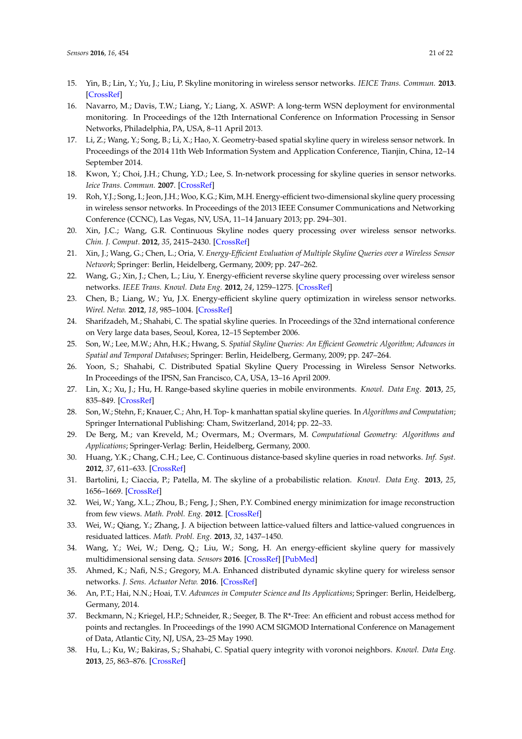- 15. Yin, B.; Lin, Y.; Yu, J.; Liu, P. Skyline monitoring in wireless sensor networks. *IEICE Trans. Commun.* **2013**. [\[CrossRef\]](http://dx.doi.org/10.1587/transcom.E96.B.778)
- <span id="page-20-0"></span>16. Navarro, M.; Davis, T.W.; Liang, Y.; Liang, X. ASWP: A long-term WSN deployment for environmental monitoring. In Proceedings of the 12th International Conference on Information Processing in Sensor Networks, Philadelphia, PA, USA, 8–11 April 2013.
- <span id="page-20-1"></span>17. Li, Z.; Wang, Y.; Song, B.; Li, X.; Hao, X. Geometry-based spatial skyline query in wireless sensor network. In Proceedings of the 2014 11th Web Information System and Application Conference, Tianjin, China, 12–14 September 2014.
- <span id="page-20-2"></span>18. Kwon, Y.; Choi, J.H.; Chung, Y.D.; Lee, S. In-network processing for skyline queries in sensor networks. *Ieice Trans. Commun.* **2007**. [\[CrossRef\]](http://dx.doi.org/10.1093/ietcom/e90-b.12.3452)
- <span id="page-20-4"></span>19. Roh, Y.J.; Song, I.; Jeon, J.H.; Woo, K.G.; Kim, M.H. Energy-efficient two-dimensional skyline query processing in wireless sensor networks. In Proceedings of the 2013 IEEE Consumer Communications and Networking Conference (CCNC), Las Vegas, NV, USA, 11–14 January 2013; pp. 294–301.
- <span id="page-20-5"></span>20. Xin, J.C.; Wang, G.R. Continuous Skyline nodes query processing over wireless sensor networks. *Chin. J. Comput.* **2012**, *35*, 2415–2430. [\[CrossRef\]](http://dx.doi.org/10.3724/SP.J.1016.2012.02415)
- <span id="page-20-6"></span>21. Xin, J.; Wang, G.; Chen, L.; Oria, V. *Energy-Efficient Evaluation of Multiple Skyline Queries over a Wireless Sensor Network*; Springer: Berlin, Heidelberg, Germany, 2009; pp. 247–262.
- <span id="page-20-7"></span>22. Wang, G.; Xin, J.; Chen, L.; Liu, Y. Energy-efficient reverse skyline query processing over wireless sensor networks. *IEEE Trans. Knowl. Data Eng.* **2012**, *24*, 1259–1275. [\[CrossRef\]](http://dx.doi.org/10.1109/TKDE.2011.64)
- <span id="page-20-3"></span>23. Chen, B.; Liang, W.; Yu, J.X. Energy-efficient skyline query optimization in wireless sensor networks. *Wirel. Netw.* **2012**, *18*, 985–1004. [\[CrossRef\]](http://dx.doi.org/10.1007/s11276-012-0446-z)
- <span id="page-20-8"></span>24. Sharifzadeh, M.; Shahabi, C. The spatial skyline queries. In Proceedings of the 32nd international conference on Very large data bases, Seoul, Korea, 12–15 September 2006.
- <span id="page-20-10"></span>25. Son, W.; Lee, M.W.; Ahn, H.K.; Hwang, S. *Spatial Skyline Queries: An Efficient Geometric Algorithm; Advances in Spatial and Temporal Databases*; Springer: Berlin, Heidelberg, Germany, 2009; pp. 247–264.
- <span id="page-20-11"></span>26. Yoon, S.; Shahabi, C. Distributed Spatial Skyline Query Processing in Wireless Sensor Networks. In Proceedings of the IPSN, San Francisco, CA, USA, 13–16 April 2009.
- <span id="page-20-12"></span>27. Lin, X.; Xu, J.; Hu, H. Range-based skyline queries in mobile environments. *Knowl. Data Eng.* **2013**, *25*, 835–849. [\[CrossRef\]](http://dx.doi.org/10.1109/TKDE.2011.229)
- <span id="page-20-9"></span>28. Son, W.; Stehn, F.; Knauer, C.; Ahn, H. Top- k manhattan spatial skyline queries. In *Algorithms and Computation*; Springer International Publishing: Cham, Switzerland, 2014; pp. 22–33.
- <span id="page-20-13"></span>29. De Berg, M.; van Kreveld, M.; Overmars, M.; Overmars, M. *Computational Geometry: Algorithms and Applications*; Springer-Verlag: Berlin, Heidelberg, Germany, 2000.
- <span id="page-20-14"></span>30. Huang, Y.K.; Chang, C.H.; Lee, C. Continuous distance-based skyline queries in road networks. *Inf. Syst.* **2012**, *37*, 611–633. [\[CrossRef\]](http://dx.doi.org/10.1016/j.is.2012.02.003)
- <span id="page-20-15"></span>31. Bartolini, I.; Ciaccia, P.; Patella, M. The skyline of a probabilistic relation. *Knowl. Data Eng.* **2013**, *25*, 1656–1669. [\[CrossRef\]](http://dx.doi.org/10.1109/TKDE.2012.102)
- <span id="page-20-16"></span>32. Wei, W.; Yang, X.L.; Zhou, B.; Feng, J.; Shen, P.Y. Combined energy minimization for image reconstruction from few views. *Math. Probl. Eng.* **2012**. [\[CrossRef\]](http://dx.doi.org/10.1155/2012/154630)
- <span id="page-20-17"></span>33. Wei, W.; Qiang, Y.; Zhang, J. A bijection between lattice-valued filters and lattice-valued congruences in residuated lattices. *Math. Probl. Eng.* **2013**, *32*, 1437–1450.
- <span id="page-20-18"></span>34. Wang, Y.; Wei, W.; Deng, Q.; Liu, W.; Song, H. An energy-efficient skyline query for massively multidimensional sensing data. *Sensors* **2016**. [\[CrossRef\]](http://dx.doi.org/10.3390/s16010083) [\[PubMed\]](http://www.ncbi.nlm.nih.gov/pubmed/26761010)
- <span id="page-20-19"></span>35. Ahmed, K.; Nafi, N.S.; Gregory, M.A. Enhanced distributed dynamic skyline query for wireless sensor networks. *J. Sens. Actuator Netw.* **2016**. [\[CrossRef\]](http://dx.doi.org/10.3390/jsan5010002)
- <span id="page-20-20"></span>36. An, P.T.; Hai, N.N.; Hoai, T.V. *Advances in Computer Science and Its Applications*; Springer: Berlin, Heidelberg, Germany, 2014.
- <span id="page-20-21"></span>37. Beckmann, N.; Kriegel, H.P.; Schneider, R.; Seeger, B. The R\*-Tree: An efficient and robust access method for points and rectangles. In Proceedings of the 1990 ACM SIGMOD International Conference on Management of Data, Atlantic City, NJ, USA, 23–25 May 1990.
- <span id="page-20-22"></span>38. Hu, L.; Ku, W.; Bakiras, S.; Shahabi, C. Spatial query integrity with voronoi neighbors. *Knowl. Data Eng.* **2013**, *25*, 863–876. [\[CrossRef\]](http://dx.doi.org/10.1109/TKDE.2011.267)